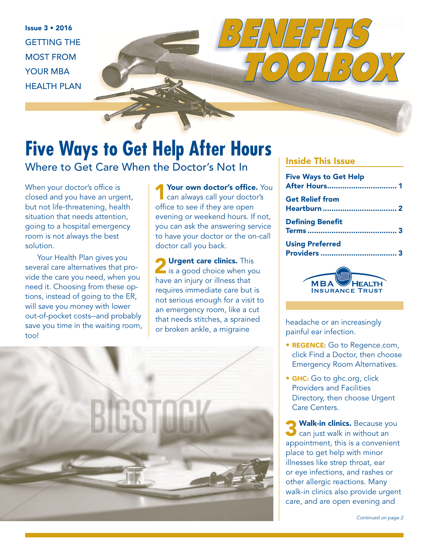Issue 3 • 2016 GETTING THE MOST FROM YOUR MBA HEALTH PLAN

## **Five Ways to Get Help After Hours**  Where to Get Care When the Doctor's Not In

When your doctor's office is closed and you have an urgent, but not life-threatening, health situation that needs attention, going to a hospital emergency room is not always the best solution.

Your Health Plan gives you several care alternatives that provide the care you need, when you need it. Choosing from these options, instead of going to the ER, will save you money with lower out-of-pocket costs--and probably save you time in the waiting room, too!

Your own doctor's office. You<br>
can always call your doctor's office to see if they are open evening or weekend hours. If not, you can ask the answering service to have your doctor or the on-call doctor call you back.

**2** Urgent care clinics. This is a good choice when you have an injury or illness that requires immediate care but is not serious enough for a visit to an emergency room, like a cut that needs stitches, a sprained that needs stitches, a sprained<br>or broken ankle, a migraine headache or infortion



#### Inside This Issue

*BENEFITS* 

| <b>Five Ways to Get Help</b> |  |
|------------------------------|--|
| <b>Get Relief from</b>       |  |
| <b>Defining Benefit</b>      |  |
| <b>Using Preferred</b>       |  |

 *TOOLBOX*



painful ear infection.

- REGENCE: Go to Regence.com, click Find a Doctor, then choose Emergency Room Alternatives.
- **GHC:** Go to ghc.org, click Providers and Facilities Directory, then choose Urgent Care Centers.

**Walk-in clinics.** Because you  $\bullet$  can just walk in without an appointment, this is a convenient place to get help with minor illnesses like strep throat, ear or eye infections, and rashes or other allergic reactions. Many walk-in clinics also provide urgent care, and are open evening and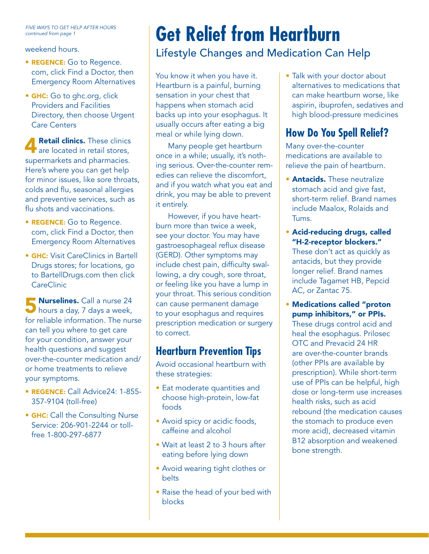FIVE WAYS TO GET HELP AFTER HOURS continued from page 1

weekend hours.

- REGENCE: Go to Regence. com, click Find a Doctor, then Emergency Room Alternatives
- GHC: Go to ghc.org, click Providers and Facilities Directory, then choose Urgent Care Centers

**A Retail clinics.** These clinics are located in retail stores, supermarkets and pharmacies. Here's where you can get help for minor issues, like sore throats, colds and flu, seasonal allergies and preventive services, such as flu shots and vaccinations.

- REGENCE: Go to Regence. com, click Find a Doctor, then Emergency Room Alternatives
- **GHC:** Visit CareClinics in Bartell Drugs stores; for locations, go to BartellDrugs.com then click **CareClinic**

5 Nurselines. Call a nurse 24 hours a day, 7 days a week, for reliable information. The nurse can tell you where to get care for your condition, answer your health questions and suggest over-the-counter medication and/ or home treatments to relieve your symptoms.

- REGENCE: Call Advice24: 1-855- 357-9104 (toll-free)
- **GHC:** Call the Consulting Nurse Service: 206-901-2244 or tollfree 1-800-297-6877

# **Get Relief from Heartburn**

## Lifestyle Changes and Medication Can Help

You know it when you have it. Heartburn is a painful, burning sensation in your chest that happens when stomach acid backs up into your esophagus. It usually occurs after eating a big meal or while lying down.

Many people get heartburn once in a while; usually, it's nothing serious. Over-the-counter remedies can relieve the discomfort, and if you watch what you eat and drink, you may be able to prevent it entirely.

However, if you have heartburn more than twice a week, see your doctor. You may have gastroesophageal reflux disease (GERD). Other symptoms may include chest pain, difficulty swallowing, a dry cough, sore throat, or feeling like you have a lump in your throat. This serious condition can cause permanent damage to your esophagus and requires prescription medication or surgery to correct.

## **Heartburn Prevention Tips**

Avoid occasional heartburn with these strategies:

- Eat moderate quantities and choose high-protein, low-fat foods
- Avoid spicy or acidic foods, caffeine and alcohol
- Wait at least 2 to 3 hours after eating before lying down
- Avoid wearing tight clothes or belts
- Raise the head of your bed with blocks

• Talk with your doctor about alternatives to medications that can make heartburn worse, like aspirin, ibuprofen, sedatives and high blood-pressure medicines

## **How Do You Spell Relief?**

Many over-the-counter medications are available to relieve the pain of heartburn.

- **Antacids.** These neutralize stomach acid and give fast, short-term relief. Brand names include Maalox, Rolaids and Tums.
- Acid-reducing drugs, called "H-2-receptor blockers."

These don't act as quickly as antacids, but they provide longer relief. Brand names include Tagamet HB, Pepcid AC, or Zantac 75.

• Medications called "proton pump inhibitors," or PPIs. These drugs control acid and heal the esophagus. Prilosec OTC and Prevacid 24 HR are over-the-counter brands (other PPIs are available by prescription). While short-term use of PPIs can be helpful, high dose or long-term use increases health risks, such as acid rebound (the medication causes the stomach to produce even more acid), decreased vitamin B12 absorption and weakened bone strength.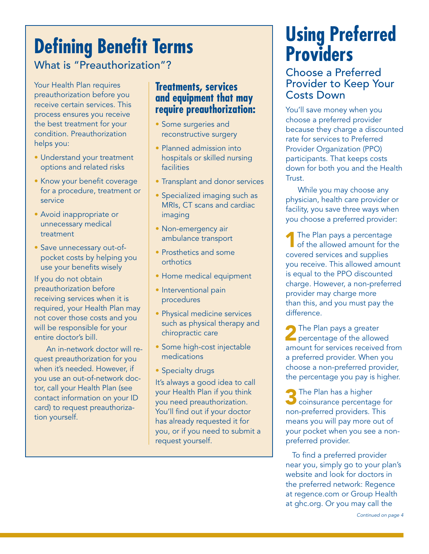# **Defining Benefit Terms**

What is "Preauthorization"?

Your Health Plan requires preauthorization before you receive certain services. This process ensures you receive the best treatment for your condition. Preauthorization helps you:

- Understand your treatment options and related risks
- Know your benefit coverage for a procedure, treatment or service
- Avoid inappropriate or unnecessary medical treatment
- Save unnecessary out-ofpocket costs by helping you use your benefits wisely

If you do not obtain preauthorization before receiving services when it is required, your Health Plan may not cover those costs and you will be responsible for your entire doctor's bill.

An in-network doctor will request preauthorization for you when it's needed. However, if you use an out-of-network doctor, call your Health Plan (see contact information on your ID card) to request preauthorization yourself.

### **Treatments, services and equipment that may require preauthorization:**

- Some surgeries and reconstructive surgery
- Planned admission into hospitals or skilled nursing facilities
- Transplant and donor services
- Specialized imaging such as MRIs, CT scans and cardiac imaging
- Non-emergency air ambulance transport
- Prosthetics and some orthotics
- Home medical equipment
- Interventional pain procedures
- Physical medicine services such as physical therapy and chiropractic care
- Some high-cost injectable medications
- Specialty drugs

It's always a good idea to call your Health Plan if you think you need preauthorization. You'll find out if your doctor has already requested it for you, or if you need to submit a request yourself.

## **Using Preferred Providers**

Choose a Preferred Provider to Keep Your Costs Down

You'll save money when you choose a preferred provider because they charge a discounted rate for services to Preferred Provider Organization (PPO) participants. That keeps costs down for both you and the Health Trust.

While you may choose any physician, health care provider or facility, you save three ways when you choose a preferred provider:

The Plan pays a percentage<br>of the allowed amount for the covered services and supplies you receive. This allowed amount is equal to the PPO discounted charge. However, a non-preferred provider may charge more than this, and you must pay the difference.

**2** The Plan pays a greater **Percentage of the allowed** amount for services received from a preferred provider. When you choose a non-preferred provider, the percentage you pay is higher.

**3** The Plan has a higher coinsurance percentage for non-preferred providers. This means you will pay more out of your pocket when you see a nonpreferred provider.

 To find a preferred provider near you, simply go to your plan's website and look for doctors in the preferred network: Regence at regence.com or Group Health at ghc.org. Or you may call the